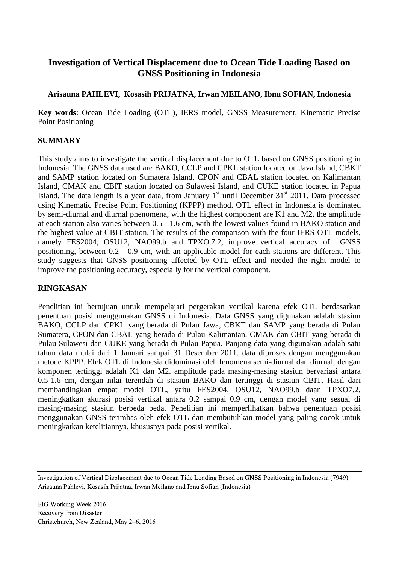# **Investigation of Vertical Displacement due to Ocean Tide Loading Based on GNSS Positioning in Indonesia**

### **Arisauna PAHLEVI, Kosasih PRIJATNA, Irwan MEILANO, Ibnu SOFIAN, Indonesia**

**Key words**: Ocean Tide Loading (OTL), IERS model, GNSS Measurement, Kinematic Precise Point Positioning

### **SUMMARY**

This study aims to investigate the vertical displacement due to OTL based on GNSS positioning in Indonesia. The GNSS data used are BAKO, CCLP and CPKL station located on Java Island, CBKT and SAMP station located on Sumatera Island, CPON and CBAL station located on Kalimantan Island, CMAK and CBIT station located on Sulawesi Island, and CUKE station located in Papua Island. The data length is a year data, from January  $1<sup>st</sup>$  until December 31 $<sup>st</sup>$  2011. Data processed</sup> using Kinematic Precise Point Positioning (KPPP) method. OTL effect in Indonesia is dominated by semi-diurnal and diurnal phenomena, with the highest component are K1 and M2. the amplitude at each station also varies between 0.5 - 1.6 cm, with the lowest values found in BAKO station and the highest value at CBIT station. The results of the comparison with the four IERS OTL models, namely FES2004, OSU12, NAO99.b and TPXO.7.2, improve vertical accuracy of GNSS positioning, between 0.2 - 0.9 cm, with an applicable model for each stations are different. This study suggests that GNSS positioning affected by OTL effect and needed the right model to improve the positioning accuracy, especially for the vertical component.

### **RINGKASAN**

Penelitian ini bertujuan untuk mempelajari pergerakan vertikal karena efek OTL berdasarkan penentuan posisi menggunakan GNSS di Indonesia. Data GNSS yang digunakan adalah stasiun BAKO, CCLP dan CPKL yang berada di Pulau Jawa, CBKT dan SAMP yang berada di Pulau Sumatera, CPON dan CBAL yang berada di Pulau Kalimantan, CMAK dan CBIT yang berada di Pulau Sulawesi dan CUKE yang berada di Pulau Papua. Panjang data yang digunakan adalah satu tahun data mulai dari 1 Januari sampai 31 Desember 2011. data diproses dengan menggunakan metode KPPP. Efek OTL di Indonesia didominasi oleh fenomena semi-diurnal dan diurnal, dengan komponen tertinggi adalah K1 dan M2. amplitude pada masing-masing stasiun bervariasi antara 0.5-1.6 cm, dengan nilai terendah di stasiun BAKO dan tertinggi di stasiun CBIT. Hasil dari membandingkan empat model OTL, yaitu FES2004, OSU12, NAO99.b daan TPXO7.2, meningkatkan akurasi posisi vertikal antara 0.2 sampai 0.9 cm, dengan model yang sesuai di masing-masing stasiun berbeda beda. Penelitian ini memperlihatkan bahwa penentuan posisi menggunakan GNSS terimbas oleh efek OTL dan membutuhkan model yang paling cocok untuk meningkatkan ketelitiannya, khususnya pada posisi vertikal.

Investigation of Vertical Displacement due to Ocean Tide Loading Based on GNSS Positioning in Indonesia (7949) Arisauna Pahlevi, Kosasih Prijatna, Irwan Meilano and Ibnu Sofian (Indonesia)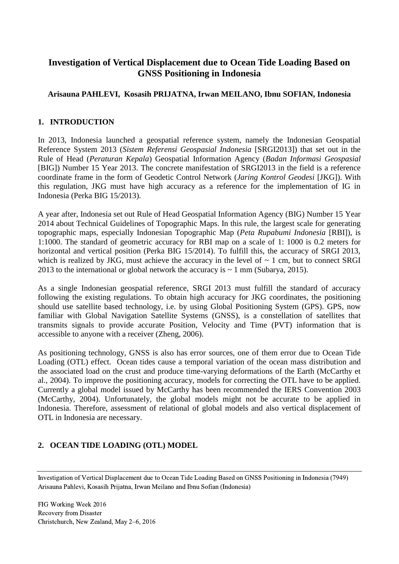# **Investigation of Vertical Displacement due to Ocean Tide Loading Based on GNSS Positioning in Indonesia**

## **Arisauna PAHLEVI, Kosasih PRIJATNA, Irwan MEILANO, Ibnu SOFIAN, Indonesia**

### **1. INTRODUCTION**

In 2013, Indonesia launched a geospatial reference system, namely the Indonesian Geospatial Reference System 2013 (*Sistem Referensi Geospasial Indonesia* [SRGI2013]) that set out in the Rule of Head (*Peraturan Kepala*) Geospatial Information Agency (*Badan Informasi Geospasial* [BIG]) Number 15 Year 2013. The concrete manifestation of SRGI2013 in the field is a reference coordinate frame in the form of Geodetic Control Network (*Jaring Kontrol Geodesi* [JKG]). With this regulation, JKG must have high accuracy as a reference for the implementation of IG in Indonesia (Perka BIG 15/2013).

A year after, Indonesia set out Rule of Head Geospatial Information Agency (BIG) Number 15 Year 2014 about Technical Guidelines of Topographic Maps. In this rule, the largest scale for generating topographic maps, especially Indonesian Topographic Map (*Peta Rupabumi Indonesia* [RBI]), is 1:1000. The standard of geometric accuracy for RBI map on a scale of 1: 1000 is 0.2 meters for horizontal and vertical position (Perka BIG 15/2014). To fulfill this, the accuracy of SRGI 2013, which is realized by JKG, must achieve the accuracy in the level of  $\sim 1$  cm, but to connect SRGI 2013 to the international or global network the accuracy is  $\sim 1$  mm (Subarya, 2015).

As a single Indonesian geospatial reference, SRGI 2013 must fulfill the standard of accuracy following the existing regulations. To obtain high accuracy for JKG coordinates, the positioning should use satellite based technology, i.e. by using Global Positioning System (GPS). GPS, now familiar with Global Navigation Satellite Systems (GNSS), is a constellation of satellites that transmits signals to provide accurate Position, Velocity and Time (PVT) information that is accessible to anyone with a receiver (Zheng, 2006).

As positioning technology, GNSS is also has error sources, one of them error due to Ocean Tide Loading (OTL) effect. Ocean tides cause a temporal variation of the ocean mass distribution and the associated load on the crust and produce time-varying deformations of the Earth (McCarthy et al., 2004). To improve the positioning accuracy, models for correcting the OTL have to be applied. Currently a global model issued by McCarthy has been recommended the IERS Convention 2003 (McCarthy, 2004). Unfortunately, the global models might not be accurate to be applied in Indonesia. Therefore, assessment of relational of global models and also vertical displacement of OTL in Indonesia are necessary.

# **2. OCEAN TIDE LOADING (OTL) MODEL**

Investigation of Vertical Displacement due to Ocean Tide Loading Based on GNSS Positioning in Indonesia (7949) Arisauna Pahlevi, Kosasih Prijatna, Irwan Meilano and Ibnu Sofian (Indonesia)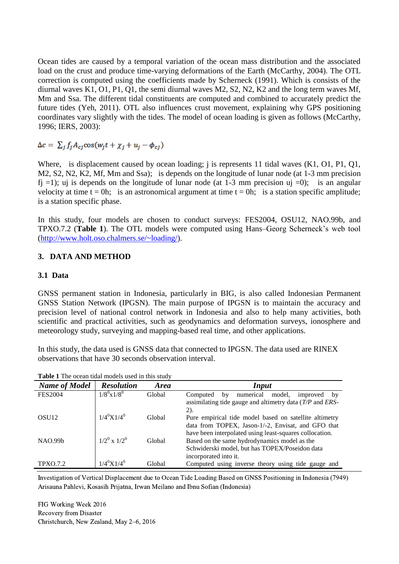Ocean tides are caused by a temporal variation of the ocean mass distribution and the associated load on the crust and produce time-varying deformations of the Earth (McCarthy, 2004). The OTL correction is computed using the coefficients made by Scherneck (1991). Which is consists of the diurnal waves K1, O1, P1, Q1, the semi diurnal waves M2, S2, N2, K2 and the long term waves Mf, Mm and Ssa. The different tidal constituents are computed and combined to accurately predict the future tides (Yeh, 2011). OTL also influences crust movement, explaining why GPS positioning coordinates vary slightly with the tides. The model of ocean loading is given as follows (McCarthy, 1996; IERS, 2003):

 $\Delta c = \sum_i f_i A_{ci} \cos(w_i t + \chi_i + u_i - \phi_{ci})$ 

Where, is displacement caused by ocean loading; *j* is represents 11 tidal waves (K1, O1, P1, Q1, M2, S2, N2, K2, Mf, Mm and Ssa); is depends on the longitude of lunar node (at 1-3 mm precision f<sub>i</sub> =1); uj is depends on the longitude of lunar node (at 1-3 mm precision uj =0); is an angular velocity at time  $t = 0h$ ; is an astronomical argument at time  $t = 0h$ ; is a station specific amplitude; is a station specific phase.

In this study, four models are chosen to conduct surveys: FES2004, OSU12, NAO.99b, and TPXO.7.2 (**Table 1**). The OTL models were computed using Hans–Georg Scherneck's web tool [\(http://www.holt.oso.chalmers.se/~loading/\)](http://www.holt.oso.chalmers.se/~loading/).

#### **3. DATA AND METHOD**

#### **3.1 Data**

GNSS permanent station in Indonesia, particularly in BIG, is also called Indonesian Permanent GNSS Station Network (IPGSN). The main purpose of IPGSN is to maintain the accuracy and precision level of national control network in Indonesia and also to help many activities, both scientific and practical activities, such as geodynamics and deformation surveys, ionosphere and meteorology study, surveying and mapping-based real time, and other applications.

In this study, the data used is GNSS data that connected to IPGSN. The data used are RINEX observations that have 30 seconds observation interval.

| <b>Name of Model</b> | <b>Resolution</b>      | <b>Area</b> | <b>Input</b>                                                                                                                                              |  |  |
|----------------------|------------------------|-------------|-----------------------------------------------------------------------------------------------------------------------------------------------------------|--|--|
| <b>FES2004</b>       | $1/8^0 \text{x} 1/8^0$ | Global      | numerical<br>model,<br>improved<br>Computed<br>by<br>by<br>assimilating tide gauge and altimetry data $(T/P)$ and $ERS$ -<br>2).                          |  |  |
| OSU <sub>12</sub>    | $1/4^0$ X $1/4^0$      | Global      | Pure empirical tide model based on satellite altimetry<br>data from TOPEX, Jason-1/-2, Envisat, and GFO that                                              |  |  |
| NAO.99b              | $1/2^0 \times 1/2^0$   | Global      | have been interpolated using least-squares collocation.<br>Based on the same hydrodynamics model as the<br>Schwiderski model, but has TOPEX/Poseidon data |  |  |
| <b>TPXO.7.2</b>      | $1/4^{0}$ X $1/4^{0}$  | Global      | incorporated into it.<br>Computed using inverse theory using tide gauge and                                                                               |  |  |

Investigation of Vertical Displacement due to Ocean Tide Loading Based on GNSS Positioning in Indonesia (7949) Arisauna Pahlevi, Kosasih Prijatna, Irwan Meilano and Ibnu Sofian (Indonesia)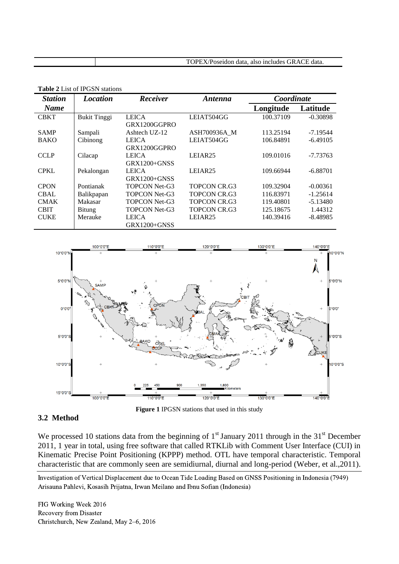| <b>Station</b> | <b>Location</b>     | Receiver             | Antenna             | Coordinate |            |  |  |  |
|----------------|---------------------|----------------------|---------------------|------------|------------|--|--|--|
| <b>Name</b>    |                     |                      |                     | Longitude  | Latitude   |  |  |  |
| <b>CBKT</b>    | <b>Bukit Tinggi</b> | <b>LEICA</b>         | LEIAT504GG          | 100.37109  | $-0.30898$ |  |  |  |
|                |                     | GRX1200GGPRO         |                     |            |            |  |  |  |
| <b>SAMP</b>    | Sampali             | Ashtech UZ-12        | ASH700936A M        | 113.25194  | $-7.19544$ |  |  |  |
| <b>BAKO</b>    | Cibinong            | <b>LEICA</b>         | LEIAT504GG          | 106.84891  | $-6.49105$ |  |  |  |
|                |                     | GRX1200GGPRO         |                     |            |            |  |  |  |
| <b>CCLP</b>    | Cilacap             | <b>LEICA</b>         | LEIAR <sub>25</sub> | 109.01016  | $-7.73763$ |  |  |  |
|                |                     | $GRX1200 + GNSS$     |                     |            |            |  |  |  |
| <b>CPKL</b>    | Pekalongan          | <b>LEICA</b>         | LEIAR <sub>25</sub> | 109.66944  | $-6.88701$ |  |  |  |
|                |                     | $GRX1200 + GNSS$     |                     |            |            |  |  |  |
| <b>CPON</b>    | Pontianak           | <b>TOPCON Net-G3</b> | <b>TOPCON CR.G3</b> | 109.32904  | $-0.00361$ |  |  |  |
| <b>CBAL</b>    | Balikpapan          | <b>TOPCON Net-G3</b> | <b>TOPCON CR.G3</b> | 116.83971  | $-1.25614$ |  |  |  |
| <b>CMAK</b>    | Makasar             | <b>TOPCON Net-G3</b> | <b>TOPCON CR.G3</b> | 119.40801  | $-5.13480$ |  |  |  |
| <b>CBIT</b>    | Bitung              | <b>TOPCON Net-G3</b> | <b>TOPCON CR.G3</b> | 125.18675  | 1.44312    |  |  |  |
| <b>CUKE</b>    | Merauke             | LEICA                | LEIAR25             | 140.39416  | -8.48985   |  |  |  |
|                |                     | $GRX1200 + GNSS$     |                     |            |            |  |  |  |

**Table 2** List of IPGSN stations



### **3.2 Method**

**Figure 1** IPGSN stations that used in this study

We processed 10 stations data from the beginning of  $1<sup>st</sup>$  January 2011 through in the 31<sup>st</sup> December 2011, 1 year in total, using free software that called RTKLib with Comment User Interface (CUI) in Kinematic Precise Point Positioning (KPPP) method. OTL have temporal characteristic. Temporal characteristic that are commonly seen are semidiurnal, diurnal and long-period (Weber, et al.,2011).

Investigation of Vertical Displacement due to Ocean Tide Loading Based on GNSS Positioning in Indonesia (7949) Arisauna Pahlevi, Kosasih Prijatna, Irwan Meilano and Ibnu Sofian (Indonesia)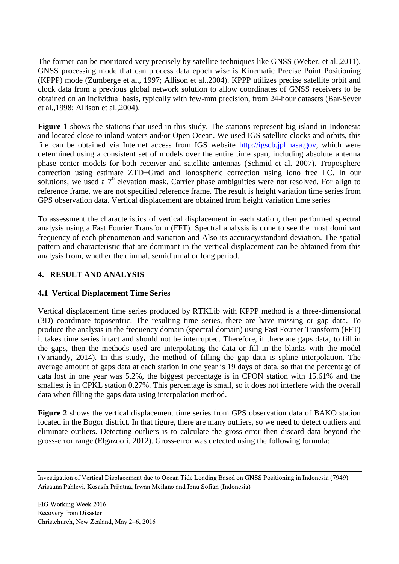The former can be monitored very precisely by satellite techniques like GNSS (Weber, et al.,2011). GNSS processing mode that can process data epoch wise is Kinematic Precise Point Positioning (KPPP) mode (Zumberge et al., 1997; Allison et al.,2004). KPPP utilizes precise satellite orbit and clock data from a previous global network solution to allow coordinates of GNSS receivers to be obtained on an individual basis, typically with few-mm precision, from 24-hour datasets (Bar-Sever et al.,1998; Allison et al.,2004).

**Figure 1** shows the stations that used in this study. The stations represent big island in Indonesia and located close to inland waters and/or Open Ocean. We used IGS satellite clocks and orbits, this file can be obtained via Internet access from IGS website [http://igscb.jpl.nasa.gov,](http://igscb.jpl.nasa.gov/) which were determined using a consistent set of models over the entire time span, including absolute antenna phase center models for both receiver and satellite antennas (Schmid et al. 2007). Troposphere correction using estimate ZTD+Grad and Ionospheric correction using iono free LC. In our solutions, we used a  $7^0$  elevation mask. Carrier phase ambiguities were not resolved. For align to reference frame, we are not specified reference frame. The result is height variation time series from GPS observation data. Vertical displacement are obtained from height variation time series

To assessment the characteristics of vertical displacement in each station, then performed spectral analysis using a Fast Fourier Transform (FFT). Spectral analysis is done to see the most dominant frequency of each phenomenon and variation and Also its accuracy/standard deviation. The spatial pattern and characteristic that are dominant in the vertical displacement can be obtained from this analysis from, whether the diurnal, semidiurnal or long period.

## **4. RESULT AND ANALYSIS**

### **4.1 Vertical Displacement Time Series**

Vertical displacement time series produced by RTKLib with KPPP method is a three-dimensional (3D) coordinate toposentric. The resulting time series, there are have missing or gap data. To produce the analysis in the frequency domain (spectral domain) using Fast Fourier Transform (FFT) it takes time series intact and should not be interrupted. Therefore, if there are gaps data, to fill in the gaps, then the methods used are interpolating the data or fill in the blanks with the model (Variandy, 2014). In this study, the method of filling the gap data is spline interpolation. The average amount of gaps data at each station in one year is 19 days of data, so that the percentage of data lost in one year was 5.2%, the biggest percentage is in CPON station with 15.61% and the smallest is in CPKL station 0.27%. This percentage is small, so it does not interfere with the overall data when filling the gaps data using interpolation method.

**Figure 2** shows the vertical displacement time series from GPS observation data of BAKO station located in the Bogor district. In that figure, there are many outliers, so we need to detect outliers and eliminate outliers. Detecting outliers is to calculate the gross-error then discard data beyond the gross-error range (Elgazooli, 2012). Gross-error was detected using the following formula:

Investigation of Vertical Displacement due to Ocean Tide Loading Based on GNSS Positioning in Indonesia (7949) Arisauna Pahlevi, Kosasih Prijatna, Irwan Meilano and Ibnu Sofian (Indonesia)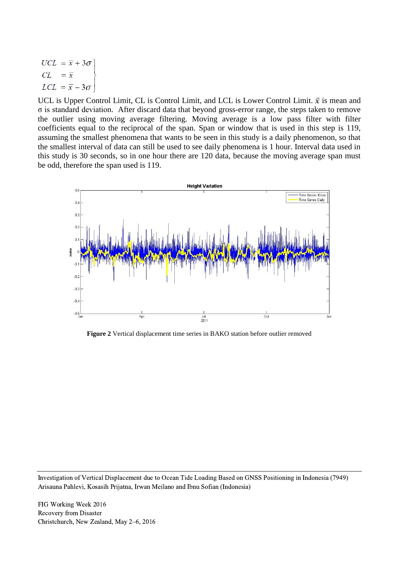$$
UCL = \overline{x} + 3\sigma
$$
  
\n
$$
CL = \overline{x}
$$
  
\n
$$
LCL = \overline{x} - 3\sigma
$$

UCL is Upper Control Limit, CL is Control Limit, and LCL is Lower Control Limit.  $\bar{x}$  is mean and σ is standard deviation. After discard data that beyond gross-error range, the steps taken to remove the outlier using moving average filtering. Moving average is a low pass filter with filter coefficients equal to the reciprocal of the span. Span or window that is used in this step is 119, assuming the smallest phenomena that wants to be seen in this study is a daily phenomenon, so that the smallest interval of data can still be used to see daily phenomena is 1 hour. Interval data used in this study is 30 seconds, so in one hour there are 120 data, because the moving average span must be odd, therefore the span used is 119.



**Figure 2** Vertical displacement time series in BAKO station before outlier removed

Investigation of Vertical Displacement due to Ocean Tide Loading Based on GNSS Positioning in Indonesia (7949) Arisauna Pahlevi, Kosasih Prijatna, Irwan Meilano and Ibnu Sofian (Indonesia)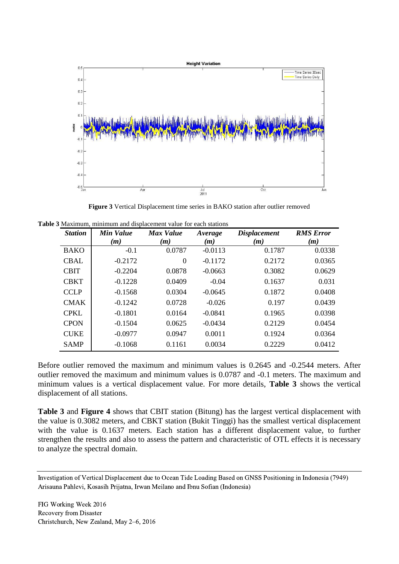

**Figure 3** Vertical Displacement time series in BAKO station after outlier removed

**Table 3** Maximum, minimum and displacement value for each stations

| <b>Station</b> | Min Value | Max Value | Average   | <b>Displacement</b> | <b>RMS</b> Error |
|----------------|-----------|-----------|-----------|---------------------|------------------|
|                | (m)       | (m)       | (m)       | (m)                 | (m)              |
| <b>BAKO</b>    | $-0.1$    | 0.0787    | $-0.0113$ | 0.1787              | 0.0338           |
| <b>CBAL</b>    | $-0.2172$ | $\Omega$  | $-0.1172$ | 0.2172              | 0.0365           |
| <b>CBIT</b>    | $-0.2204$ | 0.0878    | $-0.0663$ | 0.3082              | 0.0629           |
| <b>CBKT</b>    | $-0.1228$ | 0.0409    | $-0.04$   | 0.1637              | 0.031            |
| <b>CCLP</b>    | $-0.1568$ | 0.0304    | $-0.0645$ | 0.1872              | 0.0408           |
| <b>CMAK</b>    | $-0.1242$ | 0.0728    | $-0.026$  | 0.197               | 0.0439           |
| <b>CPKL</b>    | $-0.1801$ | 0.0164    | $-0.0841$ | 0.1965              | 0.0398           |
| <b>CPON</b>    | $-0.1504$ | 0.0625    | $-0.0434$ | 0.2129              | 0.0454           |
| <b>CUKE</b>    | $-0.0977$ | 0.0947    | 0.0011    | 0.1924              | 0.0364           |
| <b>SAMP</b>    | $-0.1068$ | 0.1161    | 0.0034    | 0.2229              | 0.0412           |

Before outlier removed the maximum and minimum values is 0.2645 and -0.2544 meters. After outlier removed the maximum and minimum values is 0.0787 and -0.1 meters. The maximum and minimum values is a vertical displacement value. For more details, **Table 3** shows the vertical displacement of all stations.

**Table 3** and **Figure 4** shows that CBIT station (Bitung) has the largest vertical displacement with the value is 0.3082 meters, and CBKT station (Bukit Tinggi) has the smallest vertical displacement with the value is 0.1637 meters. Each station has a different displacement value, to further strengthen the results and also to assess the pattern and characteristic of OTL effects it is necessary to analyze the spectral domain.

Investigation of Vertical Displacement due to Ocean Tide Loading Based on GNSS Positioning in Indonesia (7949) Arisauna Pahlevi, Kosasih Prijatna, Irwan Meilano and Ibnu Sofian (Indonesia)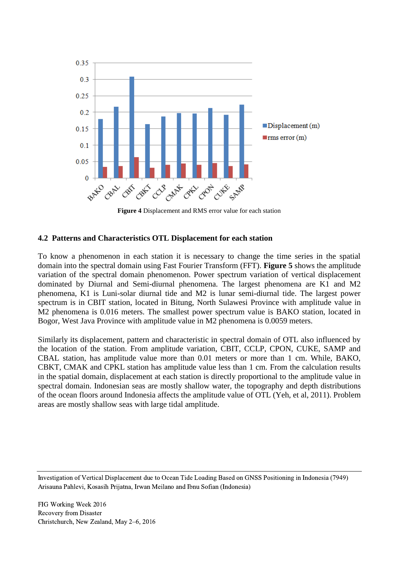

**Figure 4** Displacement and RMS error value for each station

#### **4.2 Patterns and Characteristics OTL Displacement for each station**

To know a phenomenon in each station it is necessary to change the time series in the spatial domain into the spectral domain using Fast Fourier Transform (FFT). **Figure 5** shows the amplitude variation of the spectral domain phenomenon. Power spectrum variation of vertical displacement dominated by Diurnal and Semi-diurnal phenomena. The largest phenomena are K1 and M2 phenomena, K1 is Luni-solar diurnal tide and M2 is lunar semi-diurnal tide. The largest power spectrum is in CBIT station, located in Bitung, North Sulawesi Province with amplitude value in M2 phenomena is 0.016 meters. The smallest power spectrum value is BAKO station, located in Bogor, West Java Province with amplitude value in M2 phenomena is 0.0059 meters.

Similarly its displacement, pattern and characteristic in spectral domain of OTL also influenced by the location of the station. From amplitude variation, CBIT, CCLP, CPON, CUKE, SAMP and CBAL station, has amplitude value more than 0.01 meters or more than 1 cm. While, BAKO, CBKT, CMAK and CPKL station has amplitude value less than 1 cm. From the calculation results in the spatial domain, displacement at each station is directly proportional to the amplitude value in spectral domain. Indonesian seas are mostly shallow water, the topography and depth distributions of the ocean floors around Indonesia affects the amplitude value of OTL (Yeh, et al, 2011). Problem areas are mostly shallow seas with large tidal amplitude.

Investigation of Vertical Displacement due to Ocean Tide Loading Based on GNSS Positioning in Indonesia (7949) Arisauna Pahlevi, Kosasih Prijatna, Irwan Meilano and Ibnu Sofian (Indonesia)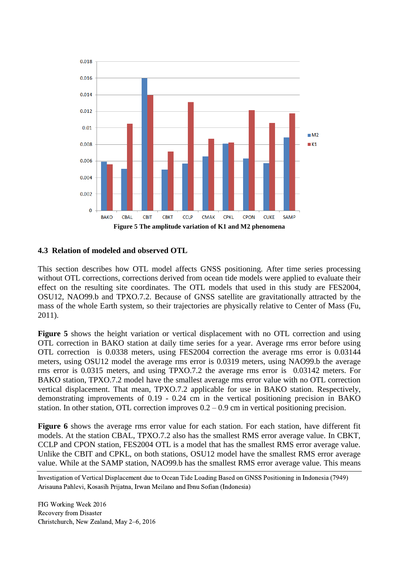

#### **4.3 Relation of modeled and observed OTL**

This section describes how OTL model affects GNSS positioning. After time series processing without OTL corrections, corrections derived from ocean tide models were applied to evaluate their effect on the resulting site coordinates. The OTL models that used in this study are FES2004, OSU12, NAO99.b and TPXO.7.2. Because of GNSS satellite are gravitationally attracted by the mass of the whole Earth system, so their trajectories are physically relative to Center of Mass (Fu, 2011).

**Figure 5** shows the height variation or vertical displacement with no OTL correction and using OTL correction in BAKO station at daily time series for a year. Average rms error before using OTL correction is 0.0338 meters, using FES2004 correction the average rms error is 0.03144 meters, using OSU12 model the average rms error is 0.0319 meters, using NAO99.b the average rms error is 0.0315 meters, and using TPXO.7.2 the average rms error is 0.03142 meters. For BAKO station, TPXO.7.2 model have the smallest average rms error value with no OTL correction vertical displacement. That mean, TPXO.7.2 applicable for use in BAKO station. Respectively, demonstrating improvements of 0.19 - 0.24 cm in the vertical positioning precision in BAKO station. In other station, OTL correction improves  $0.2 - 0.9$  cm in vertical positioning precision.

**Figure 6** shows the average rms error value for each station. For each station, have different fit models. At the station CBAL, TPXO.7.2 also has the smallest RMS error average value. In CBKT, CCLP and CPON station, FES2004 OTL is a model that has the smallest RMS error average value. Unlike the CBIT and CPKL, on both stations, OSU12 model have the smallest RMS error average value. While at the SAMP station, NAO99.b has the smallest RMS error average value. This means

Investigation of Vertical Displacement due to Ocean Tide Loading Based on GNSS Positioning in Indonesia (7949) Arisauna Pahlevi, Kosasih Prijatna, Irwan Meilano and Ibnu Sofian (Indonesia)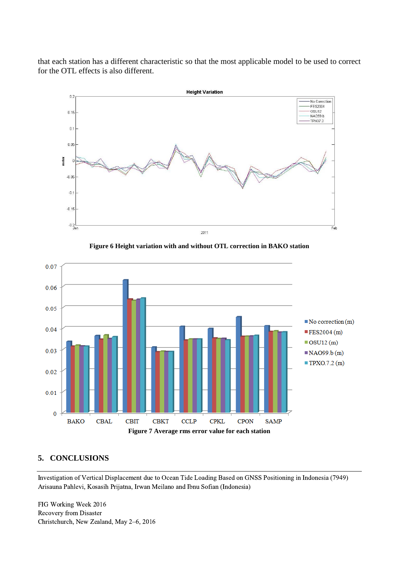that each station has a different characteristic so that the most applicable model to be used to correct for the OTL effects is also different.



**Figure 6 Height variation with and without OTL correction in BAKO station**



### **5. CONCLUSIONS**

Investigation of Vertical Displacement due to Ocean Tide Loading Based on GNSS Positioning in Indonesia (7949) Arisauna Pahlevi, Kosasih Prijatna, Irwan Meilano and Ibnu Sofian (Indonesia)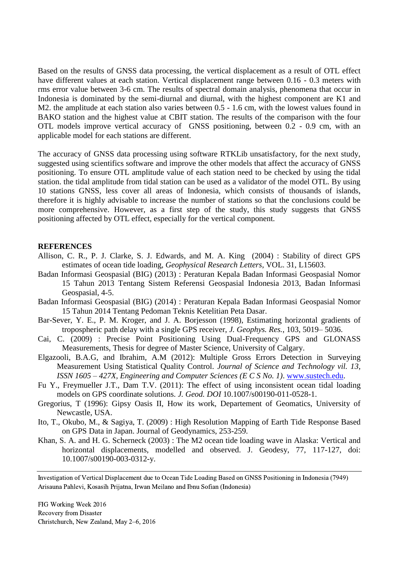Based on the results of GNSS data processing, the vertical displacement as a result of OTL effect have different values at each station. Vertical displacement range between 0.16 - 0.3 meters with rms error value between 3-6 cm. The results of spectral domain analysis, phenomena that occur in Indonesia is dominated by the semi-diurnal and diurnal, with the highest component are K1 and M2. the amplitude at each station also varies between 0.5 - 1.6 cm, with the lowest values found in BAKO station and the highest value at CBIT station. The results of the comparison with the four OTL models improve vertical accuracy of GNSS positioning, between 0.2 - 0.9 cm, with an applicable model for each stations are different.

The accuracy of GNSS data processing using software RTKLib unsatisfactory, for the next study, suggested using scientifics software and improve the other models that affect the accuracy of GNSS positioning. To ensure OTL amplitude value of each station need to be checked by using the tidal station. the tidal amplitude from tidal station can be used as a validator of the model OTL. By using 10 stations GNSS, less cover all areas of Indonesia, which consists of thousands of islands, therefore it is highly advisable to increase the number of stations so that the conclusions could be more comprehensive. However, as a first step of the study, this study suggests that GNSS positioning affected by OTL effect, especially for the vertical component.

#### **REFERENCES**

- Allison, C. R., P. J. Clarke, S. J. Edwards, and M. A. King (2004) : Stability of direct GPS estimates of ocean tide loading, *Geophysical Research Letters*, VOL. 31, L15603.
- Badan Informasi Geospasial (BIG) (2013) : Peraturan Kepala Badan Informasi Geospasial Nomor 15 Tahun 2013 Tentang Sistem Referensi Geospasial Indonesia 2013, Badan Informasi Geospasial, 4-5.
- Badan Informasi Geospasial (BIG) (2014) : Peraturan Kepala Badan Informasi Geospasial Nomor 15 Tahun 2014 Tentang Pedoman Teknis Ketelitian Peta Dasar.
- Bar-Sever, Y. E., P. M. Kroger, and J. A. Borjesson (1998), Estimating horizontal gradients of tropospheric path delay with a single GPS receiver, *J. Geophys. Res.*, 103, 5019– 5036.
- Cai, C. (2009) : Precise Point Positioning Using Dual-Frequency GPS and GLONASS Measurements, Thesis for degree of Master Science, University of Calgary.
- Elgazooli, B.A.G, and Ibrahim, A.M (2012): Multiple Gross Errors Detection in Surveying Measurement Using Statistical Quality Control. *Journal of Science and Technology vil. 13, ISSN 1605 – 427X, Engineering and Computer Sciences (E C S No. 1)*. [www.sustech.edu.](http://www.sustech.edu/)
- Fu Y., Freymueller J.T., Dam T.V. (2011): The effect of using inconsistent ocean tidal loading models on GPS coordinate solutions. *J. Geod. DOI* 10.1007/s00190-011-0528-1.
- Gregorius, T (1996): Gipsy Oasis II, How its work, Departement of Geomatics, University of Newcastle, USA.
- Ito, T., Okubo, M., & Sagiya, T. (2009) : High Resolution Mapping of Earth Tide Response Based on GPS Data in Japan. Journal of Geodynamics, 253-259.
- Khan, S. A. and H. G. Scherneck (2003) : The M2 ocean tide loading wave in Alaska: Vertical and horizontal displacements, modelled and observed. J. Geodesy, 77, 117-127, doi: 10.1007/s00190-003-0312-y.

Investigation of Vertical Displacement due to Ocean Tide Loading Based on GNSS Positioning in Indonesia (7949) Arisauna Pahlevi, Kosasih Prijatna, Irwan Meilano and Ibnu Sofian (Indonesia)